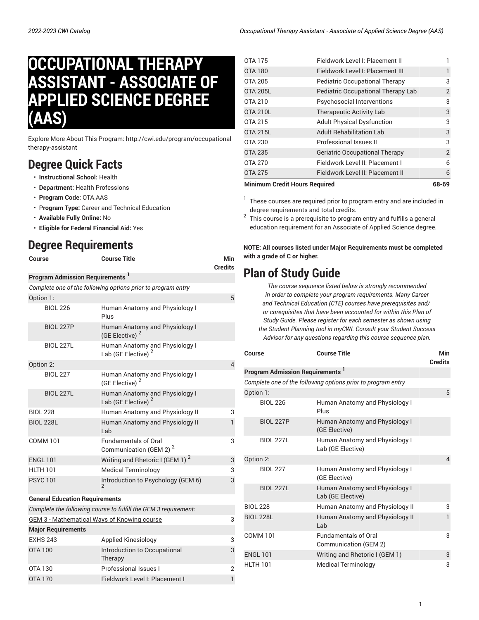# **OCCUPATIONAL THERAPY ASSISTANT - ASSOCIATE OF APPLIED SCIENCE DEGREE (AAS)**

Explore More About This Program: http://cwi.edu/program/occupationaltherapy-assistant

### **Degree Quick Facts**

- **Instructional School:** Health
- **Department:** Health Professions
- **Program Code:** OTA.AAS
- P**rogram Type:** Career and Technical Education
- **Available Fully Online:** No
- **Eligible for Federal Financial Aid:** Yes

### **Degree Requirements**

| <b>Course</b>                         | <b>Course Title</b>                                               | Min<br><b>Credits</b> |
|---------------------------------------|-------------------------------------------------------------------|-----------------------|
| <b>Program Admission Requirements</b> |                                                                   |                       |
|                                       | Complete one of the following options prior to program entry      |                       |
| Option 1:                             |                                                                   | 5                     |
| <b>BIOL 226</b>                       | Human Anatomy and Physiology I<br>Plus                            |                       |
| <b>BIOL 227P</b>                      | Human Anatomy and Physiology I<br>(GE Elective) <sup>2</sup>      |                       |
| <b>BIOL 227L</b>                      | Human Anatomy and Physiology I<br>Lab (GE Elective) <sup>2</sup>  |                       |
| Option 2:                             |                                                                   | 4                     |
| <b>BIOL 227</b>                       | Human Anatomy and Physiology I<br>(GE Elective) <sup>2</sup>      |                       |
| <b>BIOL 227L</b>                      | Human Anatomy and Physiology I<br>Lab (GE Elective) <sup>2</sup>  |                       |
| <b>BIOL 228</b>                       | Human Anatomy and Physiology II                                   | 3                     |
| <b>BIOL 228L</b>                      | Human Anatomy and Physiology II<br>Lab                            | $\mathbf{1}$          |
| <b>COMM 101</b>                       | <b>Fundamentals of Oral</b><br>Communication (GEM 2) <sup>2</sup> | 3                     |
| <b>ENGL 101</b>                       | Writing and Rhetoric I (GEM 1) $^2$                               | 3                     |
| <b>HLTH 101</b>                       | <b>Medical Terminology</b>                                        | 3                     |
| <b>PSYC101</b>                        | Introduction to Psychology (GEM 6)                                | 3                     |
| <b>General Education Requirements</b> |                                                                   |                       |
|                                       | Complete the following course to fulfill the GEM 3 requirement:   |                       |
|                                       | <b>GEM 3 - Mathematical Ways of Knowing course</b>                | 3                     |
| <b>Major Requirements</b>             |                                                                   |                       |
| <b>EXHS 243</b>                       | Applied Kinesiology                                               | 3                     |
| <b>OTA 100</b>                        | Introduction to Occupational<br>Therapy                           | 3                     |
| OTA 130                               | Professional Issues I                                             | $\overline{2}$        |
| <b>OTA 170</b>                        | Fieldwork Level I: Placement I                                    | $\mathbf{1}$          |

| OTA 275         | Fieldwork Level II: Placement II   | 6 |
|-----------------|------------------------------------|---|
| <b>OTA 270</b>  | Fieldwork Level II: Placement I    | 6 |
| <b>OTA 235</b>  | Geriatric Occupational Therapy     | 2 |
| <b>OTA 230</b>  | Professional Issues II             | 3 |
| <b>OTA 215L</b> | <b>Adult Rehabilitation Lab</b>    | 3 |
| OTA 215         | <b>Adult Physical Dysfunction</b>  | 3 |
| <b>OTA 210L</b> | <b>Therapeutic Activity Lab</b>    | 3 |
| OTA 210         | Psychosocial Interventions         | 3 |
| <b>OTA 205L</b> | Pediatric Occupational Therapy Lab | 2 |
| <b>OTA 205</b>  | Pediatric Occupational Therapy     | 3 |
| <b>OTA 180</b>  | Fieldwork Level I: Placement III   |   |
| <b>OTA 175</b>  | Fieldwork Level I: Placement II    |   |

#### **Minimum Credit Hours Required 68-69**

 $1$  These courses are required prior to program entry and are included in degree requirements and total credits.

 $^{\rm 2}$  This course is a prerequisite to program entry and fulfills a general education requirement for an Associate of Applied Science degree.

**NOTE: All courses listed under Major Requirements must be completed with a grade of C or higher.**

## **Plan of Study Guide**

*The course sequence listed below is strongly recommended in order to complete your program requirements. Many Career and Technical Education (CTE) courses have prerequisites and/ or corequisites that have been accounted for within this Plan of Study Guide. Please register for each semester as shown using the Student Planning tool in myCWI. Consult your Student Success Advisor for any questions regarding this course sequence plan.*

| Course                                             | <b>Course Title</b>                                          | <b>Min</b><br><b>Credits</b> |
|----------------------------------------------------|--------------------------------------------------------------|------------------------------|
| <b>Program Admission Requirements</b> <sup>1</sup> |                                                              |                              |
|                                                    | Complete one of the following options prior to program entry |                              |
| Option 1:                                          |                                                              | 5                            |
| <b>BIOL 226</b>                                    | Human Anatomy and Physiology I<br>Plus                       |                              |
| <b>BIOL 227P</b>                                   | Human Anatomy and Physiology I<br>(GE Elective)              |                              |
| <b>BIOL 227L</b>                                   | Human Anatomy and Physiology I<br>Lab (GE Elective)          |                              |
| Option 2:                                          |                                                              | $\overline{4}$               |
| <b>BIOL 227</b>                                    | Human Anatomy and Physiology I<br>(GE Elective)              |                              |
| <b>BIOL 227L</b>                                   | Human Anatomy and Physiology I<br>Lab (GE Elective)          |                              |
| <b>BIOL 228</b>                                    | Human Anatomy and Physiology II                              | 3                            |
| <b>BIOL 228L</b>                                   | Human Anatomy and Physiology II<br>Lab                       | 1                            |
| <b>COMM 101</b>                                    | <b>Fundamentals of Oral</b><br>Communication (GEM 2)         | 3                            |
| <b>ENGL 101</b>                                    | Writing and Rhetoric I (GEM 1)                               | 3                            |
| <b>HLTH 101</b>                                    | <b>Medical Terminology</b>                                   | 3                            |